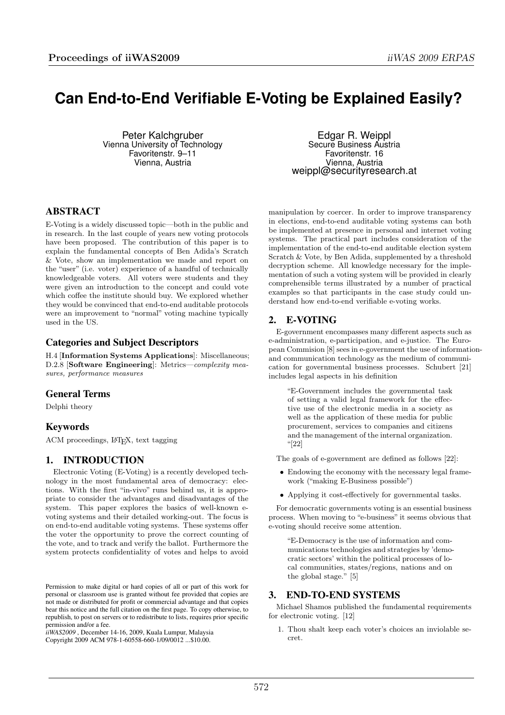# **Can End-to-End Verifiable E-Voting be Explained Easily?**

Peter Kalchgruber Vienna University of Technology Favoritenstr. 9–11 Vienna, Austria

Edgar R. Weippl Secure Business Austria Favoritenstr. 16 Vienna, Austria weippl@securityresearch.at

## ABSTRACT

E-Voting is a widely discussed topic—both in the public and in research. In the last couple of years new voting protocols have been proposed. The contribution of this paper is to explain the fundamental concepts of Ben Adida's Scratch & Vote, show an implementation we made and report on the "user" (i.e. voter) experience of a handful of technically knowledgeable voters. All voters were students and they were given an introduction to the concept and could vote which coffee the institute should buy. We explored whether they would be convinced that end-to-end auditable protocols were an improvement to "normal" voting machine typically used in the US.

#### Categories and Subject Descriptors

H.4 [Information Systems Applications]: Miscellaneous; D.2.8 [Software Engineering]: Metrics—complexity measures, performance measures

## General Terms

Delphi theory

## Keywords

ACM proceedings, L<sup>AT</sup>FX, text tagging

## 1. INTRODUCTION

Electronic Voting (E-Voting) is a recently developed technology in the most fundamental area of democracy: elections. With the first "in-vivo" runs behind us, it is appropriate to consider the advantages and disadvantages of the system. This paper explores the basics of well-known evoting systems and their detailed working-out. The focus is on end-to-end auditable voting systems. These systems offer the voter the opportunity to prove the correct counting of the vote, and to track and verify the ballot. Furthermore the system protects confidentiality of votes and helps to avoid

*iiWAS2009* , December 14-16, 2009, Kuala Lumpur, Malaysia Copyright 2009 ACM 978-1-60558-660-1/09/0012 ...\$10.00.

manipulation by coercer. In order to improve transparency in elections, end-to-end auditable voting systems can both be implemented at presence in personal and internet voting systems. The practical part includes consideration of the implementation of the end-to-end auditable election system Scratch & Vote, by Ben Adida, supplemented by a threshold decryption scheme. All knowledge necessary for the implementation of such a voting system will be provided in clearly comprehensible terms illustrated by a number of practical examples so that participants in the case study could understand how end-to-end verifiable e-voting works.

## 2. E-VOTING

E-government encompasses many different aspects such as e-administration, e-participation, and e-justice. The European Commision [8] sees in e-government the use of informationand communication technology as the medium of communication for governmental business processes. Schubert [21] includes legal aspects in his definition

"E-Government includes the governmental task of setting a valid legal framework for the effective use of the electronic media in a society as well as the application of these media for public procurement, services to companies and citizens and the management of the internal organization.  $``[22]$ 

The goals of e-government are defined as follows [22]:

- Endowing the economy with the necessary legal framework ("making E-Business possible")
- Applying it cost-effectively for governmental tasks.

For democratic governments voting is an essential business process. When moving to "e-business" it seems obvious that e-voting should receive some attention.

"E-Democracy is the use of information and communications technologies and strategies by 'democratic sectors' within the political processes of local communities, states/regions, nations and on the global stage." [5]

## 3. END-TO-END SYSTEMS

Michael Shamos published the fundamental requirements for electronic voting. [12]

1. Thou shalt keep each voter's choices an inviolable secret.

Permission to make digital or hard copies of all or part of this work for personal or classroom use is granted without fee provided that copies are not made or distributed for profit or commercial advantage and that copies bear this notice and the full citation on the first page. To copy otherwise, to republish, to post on servers or to redistribute to lists, requires prior specific permission and/or a fee.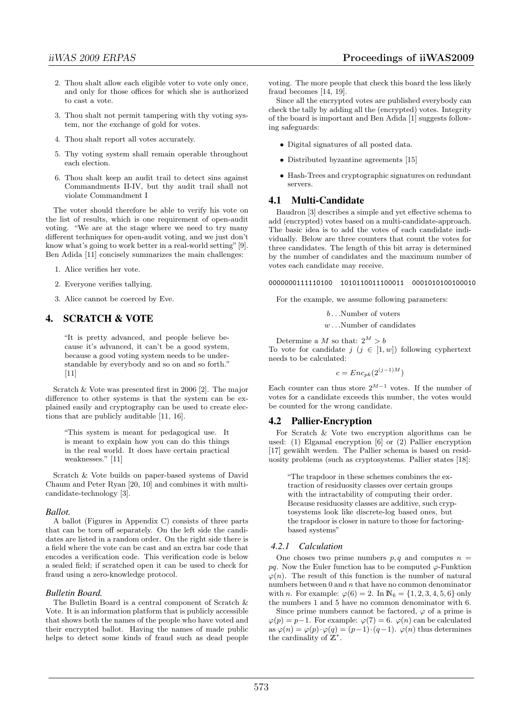- 2. Thou shalt allow each eligible voter to vote only once, and only for those offices for which she is authorized to cast a vote.
- 3. Thou shalt not permit tampering with thy voting system, nor the exchange of gold for votes.
- 4. Thou shalt report all votes accurately.
- 5. Thy voting system shall remain operable throughout each election.
- 6. Thou shalt keep an audit trail to detect sins against Commandments II-IV, but thy audit trail shall not violate Commandment I

The voter should therefore be able to verify his vote on the list of results, which is one requirement of open-audit voting. "We are at the stage where we need to try many different techniques for open-audit voting, and we just don't know what's going to work better in a real-world setting" [9]. Ben Adida [11] concisely summarizes the main challenges:

1. Alice verifies her vote.

- 2. Everyone verifies tallying.
- 3. Alice cannot be coerced by Eve.

#### 4. SCRATCH & VOTE

"It is pretty advanced, and people believe because it's advanced, it can't be a good system, because a good voting system needs to be understandable by everybody and so on and so forth."  $[11]$ 

Scratch & Vote was presented first in 2006 [2]. The major difference to other systems is that the system can be explained easily and cryptography can be used to create elections that are publicly auditable [11, 16].

"This system is meant for pedagogical use. It is meant to explain how you can do this things in the real world. It does have certain practical weaknesses." [11]

Scratch & Vote builds on paper-based systems of David Chaum and Peter Ryan [20, 10] and combines it with multicandidate-technology [3].

#### *Ballot.*

A ballot (Figures in Appendix C) consists of three parts that can be torn off separately. On the left side the candidates are listed in a random order. On the right side there is a field where the vote can be cast and an extra bar code that encodes a verification code. This verification code is below a sealed field; if scratched open it can be used to check for fraud using a zero-knowledge protocol.

#### *Bulletin Board.*

The Bulletin Board is a central component of Scratch & Vote. It is an information platform that is publicly accessible that shows both the names of the people who have voted and their encrypted ballot. Having the names of made public helps to detect some kinds of fraud such as dead people voting. The more people that check this board the less likely fraud becomes [14, 19].

Since all the encrypted votes are published everybody can check the tally by adding all the (encrypted) votes. Integrity of the board is important and Ben Adida [1] suggests following safeguards:

- Digital signatures of all posted data.
- Distributed byzantine agreements [15]
- Hash-Trees and cryptographic signatures on redundant servers.

## 4.1 Multi-Candidate

Baudron [3] describes a simple and yet effective schema to add (encrypted) votes based on a multi-candidate-approach. The basic idea is to add the votes of each candidate individually. Below are three counters that count the votes for three candidates. The length of this bit array is determined by the number of candidates and the maximum number of votes each candidate may receive.

0000000111110100 1010110011100011 0001010100100010

For the example, we assume following parameters:

b . . .Number of voters

 $w \dots$ Number of candidates

Determine a  $M$  so that:  $2^M > b$ 

To vote for candidate  $j$   $(j \in [1, w])$  following cyphertext needs to be calculated:

$$
c = Enc_{pk}(2^{(j-1)M})
$$

Each counter can thus store  $2^{M-1}$  votes. If the number of votes for a candidate exceeds this number, the votes would be counted for the wrong candidate.

#### 4.2 Pallier-Encryption

For Scratch & Vote two encryption algorithms can be used: (1) Elgamal encryption [6] or (2) Pallier encryption [17] gewählt werden. The Pallier schema is based on residuosity problems (such as cryptosystems. Pallier states [18]:

"The trapdoor in these schemes combines the extraction of residuosity classes over certain groups with the intractability of computing their order. Because residuosity classes are additive, such cryptosystems look like discrete-log based ones, but the trapdoor is closer in nature to those for factoringbased systems"

#### *4.2.1 Calculation*

One choses two prime numbers  $p, q$  and computes  $n =$ pq. Now the Euler function has to be computed  $\varphi$ -Funktion  $\varphi(n)$ . The result of this function is the number of natural numbers between  $0$  and  $n$  that have no common denominator with *n*. For example:  $\varphi(6) = 2$ . In  $\mathbb{N}_6 = \{1, 2, 3, 4, 5, 6\}$  only the numbers 1 and 5 have no common denominator with 6.

Since prime numbers cannot be factored,  $\varphi$  of a prime is  $\varphi(p) = p-1$ . For example:  $\varphi(7) = 6$ .  $\varphi(n)$  can be calculated as  $\varphi(n) = \varphi(p) \cdot \varphi(q) = (p-1) \cdot (q-1)$ .  $\varphi(n)$  thus determines the cardinality of  $\mathbb{Z}^*$ .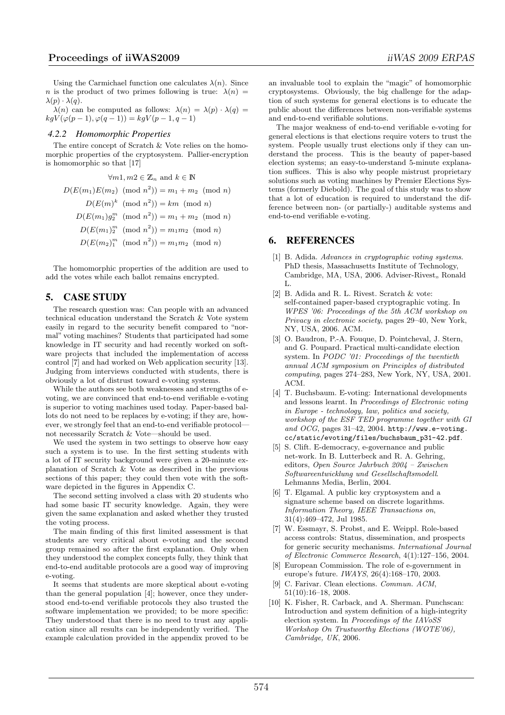Using the Carmichael function one calculates  $\lambda(n)$ . Since n is the product of two primes following is true:  $\lambda(n)$  =  $\lambda(p) \cdot \lambda(q)$ .

 $\lambda(n)$  can be computed as follows:  $\lambda(n) = \lambda(p) \cdot \lambda(q)$  $kgV(\varphi(p-1), \varphi(q-1)) = kgV(p-1, q-1)$ 

#### *4.2.2 Homomorphic Properties*

The entire concept of Scratch & Vote relies on the homomorphic properties of the cryptosystem. Pallier-encryption is homomorphic so that [17]

$$
\forall m1, m2 \in \mathbb{Z}_n \text{ and } k \in \mathbb{N}
$$

$$
D(E(m_1)E(m_2) \pmod{n^2}) = m_1 + m_2 \pmod{n}
$$

$$
D(E(m)^k \pmod{n^2}) = km \pmod{n}
$$

$$
D(E(m_1)g_2^m \pmod{n^2}) = m_1 + m_2 \pmod{n}
$$

$$
D(E(m_1)g_2^m \pmod{n^2}) = m_1m_2 \pmod{n}
$$

$$
D(E(m_2)g_2^m \pmod{n^2}) = m_1m_2 \pmod{n}
$$

The homomorphic properties of the addition are used to add the votes while each ballot remains encrypted.

## 5. CASE STUDY

The research question was: Can people with an advanced technical education understand the Scratch & Vote system easily in regard to the security benefit compared to "normal" voting machines? Students that participated had some knowledge in IT security and had recently worked on software projects that included the implementation of access control [7] and had worked on Web application security [13]. Judging from interviews conducted with students, there is obviously a lot of distrust toward e-voting systems.

While the authors see both weaknesses and strengths of evoting, we are convinced that end-to-end verifiable e-voting is superior to voting machines used today. Paper-based ballots do not need to be replaces by e-voting; if they are, however, we strongly feel that an end-to-end verifiable protocol not necessarily Scratch & Vote—should be used.

We used the system in two settings to observe how easy such a system is to use. In the first setting students with a lot of IT security background were given a 20-minute explanation of Scratch & Vote as described in the previous sections of this paper; they could then vote with the software depicted in the figures in Appendix C.

The second setting involved a class with 20 students who had some basic IT security knowledge. Again, they were given the same explanation and asked whether they trusted the voting process.

The main finding of this first limited assessment is that students are very critical about e-voting and the second group remained so after the first explanation. Only when they understood the complex concepts fully, they think that end-to-end auditable protocols are a good way of improving e-voting.

It seems that students are more skeptical about e-voting than the general population [4]; however, once they understood end-to-end verifiable protocols they also trusted the software implementation we provided; to be more specific: They understood that there is no need to trust any application since all results can be independently verified. The example calculation provided in the appendix proved to be

an invaluable tool to explain the "magic" of homomorphic cryptosystems. Obviously, the big challenge for the adaption of such systems for general elections is to educate the public about the differences between non-verifiable systems and end-to-end verifiable solutions.

The major weakness of end-to-end verifiable e-voting for general elections is that elections require voters to trust the system. People usually trust elections only if they can understand the process. This is the beauty of paper-based election systems; an easy-to-understand 5-minute explanation suffices. This is also why people mistrust proprietary solutions such as voting machines by Premier Elections Systems (formerly Diebold). The goal of this study was to show that a lot of education is required to understand the difference between non- (or partially-) auditable systems and end-to-end verifiable e-voting.

#### 6. REFERENCES

- [1] B. Adida. Advances in cryptographic voting systems. PhD thesis, Massachusetts Institute of Technology, Cambridge, MA, USA, 2006. Adviser-Rivest,, Ronald L.
- [2] B. Adida and R. L. Rivest. Scratch & vote: self-contained paper-based cryptographic voting. In WPES '06: Proceedings of the 5th ACM workshop on Privacy in electronic society, pages 29–40, New York, NY, USA, 2006. ACM.
- [3] O. Baudron, P.-A. Fouque, D. Pointcheval, J. Stern, and G. Poupard. Practical multi-candidate election system. In PODC '01: Proceedings of the twentieth annual ACM symposium on Principles of distributed computing, pages 274–283, New York, NY, USA, 2001. ACM.
- [4] T. Buchsbaum. E-voting: International developments and lessons learnt. In Proceedings of Electronic voting in Europe - technology, law, politics and society, workshop of the ESF TED programme together with GI and OCG, pages  $31-42$ ,  $2004$ . http://www.e-voting. cc/static/evoting/files/buchsbaum\_p31-42.pdf.
- [5] S. Clift. E-democracy, e-governance and public net-work. In B. Lutterbeck and R. A. Gehring, editors, Open Source Jahrbuch 2004 – Zwischen Softwareentwicklung und Gesellschaftsmodell. Lehmanns Media, Berlin, 2004.
- [6] T. Elgamal. A public key cryptosystem and a signature scheme based on discrete logarithms. Information Theory, IEEE Transactions on, 31(4):469–472, Jul 1985.
- [7] W. Essmayr, S. Probst, and E. Weippl. Role-based access controls: Status, dissemination, and prospects for generic security mechanisms. International Journal of Electronic Commerce Research, 4(1):127–156, 2004.
- [8] European Commission. The role of e-government in europe's future. IWAYS, 26(4):168–170, 2003.
- [9] C. Farivar. Clean elections. Commun. ACM, 51(10):16–18, 2008.
- [10] K. Fisher, R. Carback, and A. Sherman. Punchscan: Introduction and system definition of a high-integrity election system. In Proceedings of the IAVoSS Workshop On Trustworthy Elections (WOTE'06), Cambridge, UK, 2006.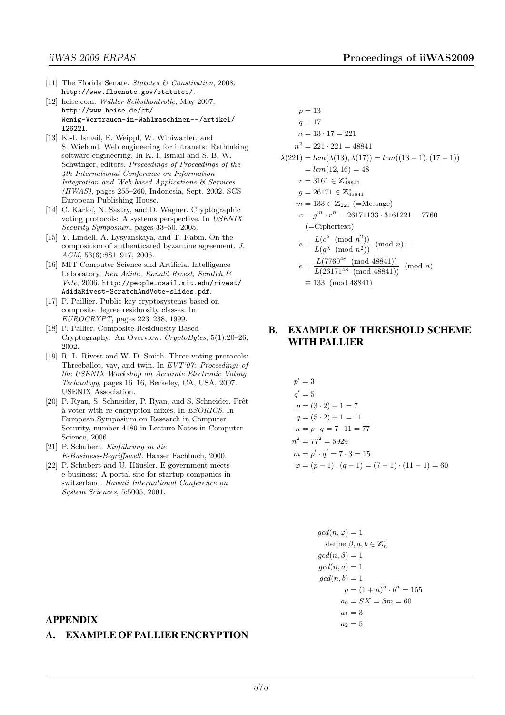- [11] The Florida Senate. Statutes & Constitution, 2008. http://www.flsenate.gov/statutes/.
- [12] heise.com. Wähler-Selbstkontrolle, May 2007. http://www.heise.de/ct/ Wenig-Vertrauen-in-Wahlmaschinen--/artikel/ 126221.
- [13] K.-I. Ismail, E. Weippl, W. Winiwarter, and S. Wieland. Web engineering for intranets: Rethinking software engineering. In K.-I. Ismail and S. B. W. Schwinger, editors, Proceedings of Proceedings of the 4th International Conference on Information Integration and Web-based Applications & Services  $(IIWAS)$ , pages 255–260, Indonesia, Sept. 2002. SCS European Publishing House.
- [14] C. Karlof, N. Sastry, and D. Wagner. Cryptographic voting protocols: A systems perspective. In USENIX Security Symposium, pages 33–50, 2005.
- [15] Y. Lindell, A. Lysyanskaya, and T. Rabin. On the composition of authenticated byzantine agreement. J. ACM, 53(6):881–917, 2006.
- [16] MIT Computer Science and Artificial Intelligence Laboratory. Ben Adida, Ronald Rivest, Scratch & Vote, 2006. http://people.csail.mit.edu/rivest/ AdidaRivest-ScratchAndVote-slides.pdf.
- [17] P. Paillier. Public-key cryptosystems based on composite degree residuosity classes. In EUROCRYPT, pages 223–238, 1999.
- [18] P. Pallier. Composite-Residuosity Based Cryptography: An Overview. CryptoBytes, 5(1):20–26, 2002.
- [19] R. L. Rivest and W. D. Smith. Three voting protocols: Threeballot, vav, and twin. In EVT'07: Proceedings of the USENIX Workshop on Accurate Electronic Voting Technology, pages 16–16, Berkeley, CA, USA, 2007. USENIX Association.
- [20] P. Ryan, S. Schneider, P. Ryan, and S. Schneider. Prêt `a voter with re-encryption mixes. In ESORICS. In European Symposium on Research in Computer Security, number 4189 in Lecture Notes in Computer Science, 2006.
- $[21]$  P. Schubert. Einführung in die E-Business-Begriffswelt. Hanser Fachbuch, 2000.
- [22] P. Schubert and U. Häusler. E-government meets e-business: A portal site for startup companies in switzerland. Hawaii International Conference on System Sciences, 5:5005, 2001.

$$
p = 13
$$
  
\n
$$
q = 17
$$
  
\n
$$
n = 13 \cdot 17 = 221
$$
  
\n
$$
n^{2} = 221 \cdot 221 = 48841
$$
  
\n
$$
\lambda(221) = lcm(\lambda(13), \lambda(17)) = lcm((13 - 1), (17 - 1))
$$
  
\n
$$
= lcm(12, 16) = 48
$$
  
\n
$$
r = 3161 \in \mathbb{Z}_{48841}^{*}
$$
  
\n
$$
g = 26171 \in \mathbb{Z}_{48841}^{*}
$$
  
\n
$$
m = 133 \in \mathbb{Z}_{221} \text{ (=Message)}
$$
  
\n
$$
c = g^{m} \cdot r^{n} = 26171133 \cdot 3161221 = 7760
$$
  
\n(=Ciphertext)  
\n
$$
e = \frac{L(c^{\lambda} \pmod{n^{2})}}{L(g^{\lambda} \pmod{n^{2})}} \pmod{n}
$$
  
\n
$$
e = \frac{L(7760^{48} \pmod{48841})}{L(26171^{48} \pmod{48841})} \pmod{n}
$$
  
\n
$$
\equiv 133 \pmod{48841}
$$

# B. EXAMPLE OF THRESHOLD SCHEME WITH PALLIER

$$
p' = 3
$$
  
\n
$$
q' = 5
$$
  
\n
$$
p = (3 \cdot 2) + 1 = 7
$$
  
\n
$$
q = (5 \cdot 2) + 1 = 11
$$
  
\n
$$
n = p \cdot q = 7 \cdot 11 = 77
$$
  
\n
$$
n^{2} = 77^{2} = 5929
$$
  
\n
$$
m = p' \cdot q' = 7 \cdot 3 = 15
$$
  
\n
$$
\varphi = (p - 1) \cdot (q - 1) = (7 - 1) \cdot (11 - 1) = 60
$$

$$
gcd(n, \varphi) = 1
$$
  
\ndefine  $\beta, a, b \in \mathbb{Z}_n^*$   
\n
$$
gcd(n, \beta) = 1
$$
  
\n
$$
gcd(n, b) = 1
$$
  
\n
$$
gcd(n, b) = 1
$$
  
\n
$$
g = (1 + n)^a \cdot b^n = 155
$$
  
\n
$$
a_0 = SK = \beta m = 60
$$
  
\n
$$
a_1 = 3
$$
  
\n
$$
a_2 = 5
$$

#### APPENDIX

## A. EXAMPLE OF PALLIER ENCRYPTION